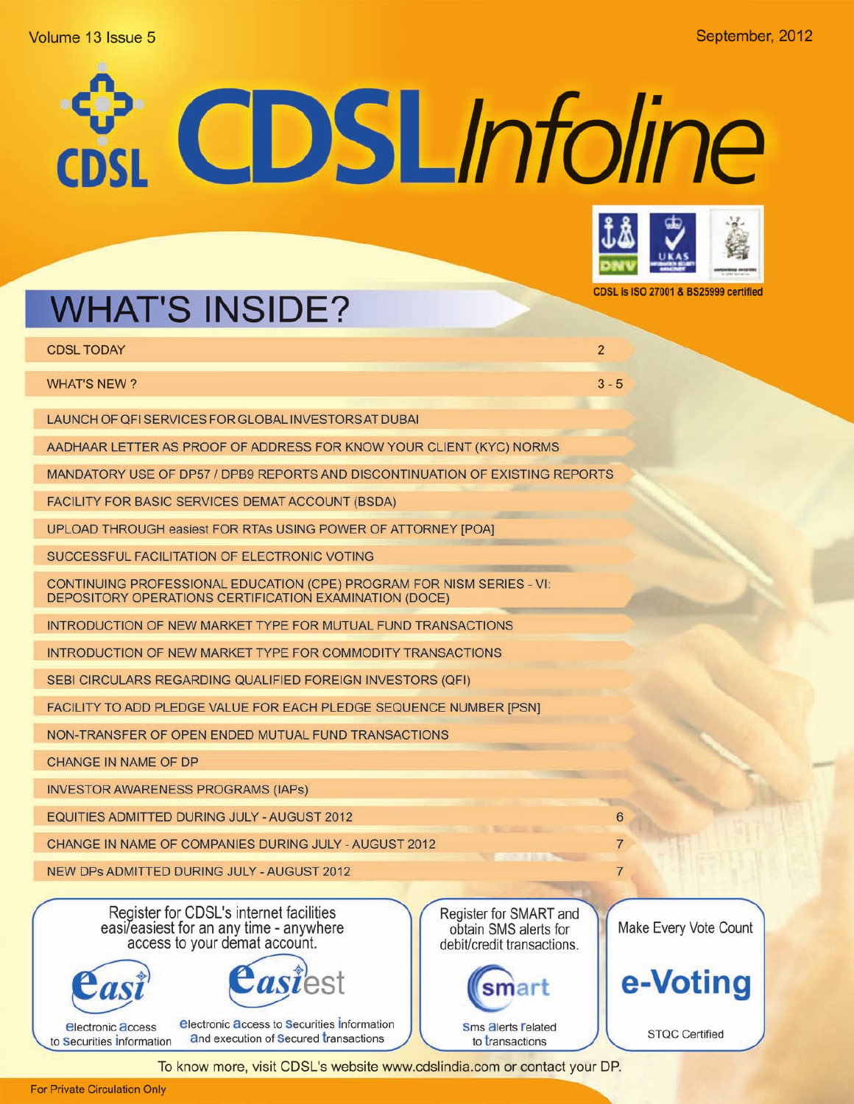### Volume 13 Issue 5

# CDSLInfoline



CDSL is ISO 27001 & BS25999 certified

 $\overline{2}$ 

 $3 - 5$ 

# **WHAT'S INSIDE?**

**CDSL TODAY** 

**WHAT'S NEW?** 

LAUNCH OF QFI SERVICES FOR GLOBAL INVESTORS AT DUBAI

AADHAAR LETTER AS PROOF OF ADDRESS FOR KNOW YOUR CLIENT (KYC) NORMS

MANDATORY USE OF DP57 / DPB9 REPORTS AND DISCONTINUATION OF EXISTING REPORTS

FACILITY FOR BASIC SERVICES DEMAT ACCOUNT (BSDA)

UPLOAD THROUGH easiest FOR RTAs USING POWER OF ATTORNEY [POA]

SUCCESSFUL FACILITATION OF ELECTRONIC VOTING

CONTINUING PROFESSIONAL EDUCATION (CPE) PROGRAM FOR NISM SERIES - VI: DEPOSITORY OPERATIONS CERTIFICATION EXAMINATION (DOCE)

INTRODUCTION OF NEW MARKET TYPE FOR MUTUAL FUND TRANSACTIONS

INTRODUCTION OF NEW MARKET TYPE FOR COMMODITY TRANSACTIONS

SEBI CIRCULARS REGARDING QUALIFIED FOREIGN INVESTORS (QFI)

FACILITY TO ADD PLEDGE VALUE FOR EACH PLEDGE SEQUENCE NUMBER [PSN]

NON-TRANSFER OF OPEN ENDED MUTUAL FUND TRANSACTIONS

CHANGE IN NAME OF DP

**INVESTOR AWARENESS PROGRAMS (IAPs)** 

EQUITIES ADMITTED DURING JULY - AUGUST 2012

CHANGE IN NAME OF COMPANIES DURING JULY - AUGUST 2012

NEW DPs ADMITTED DURING JULY - AUGUST 2012

Register for CDSL's internet facilities<br>easi/easiest for an any time - anywhere access to your demat account.





**electronic access to Securities Information electronic access** and execution of Secured transactions to Securities Information

Register for SMART and obtain SMS alerts for debit/credit transactions.



Make Every Vote Count

6

7

 $\overline{7}$ 



**STQC Certified**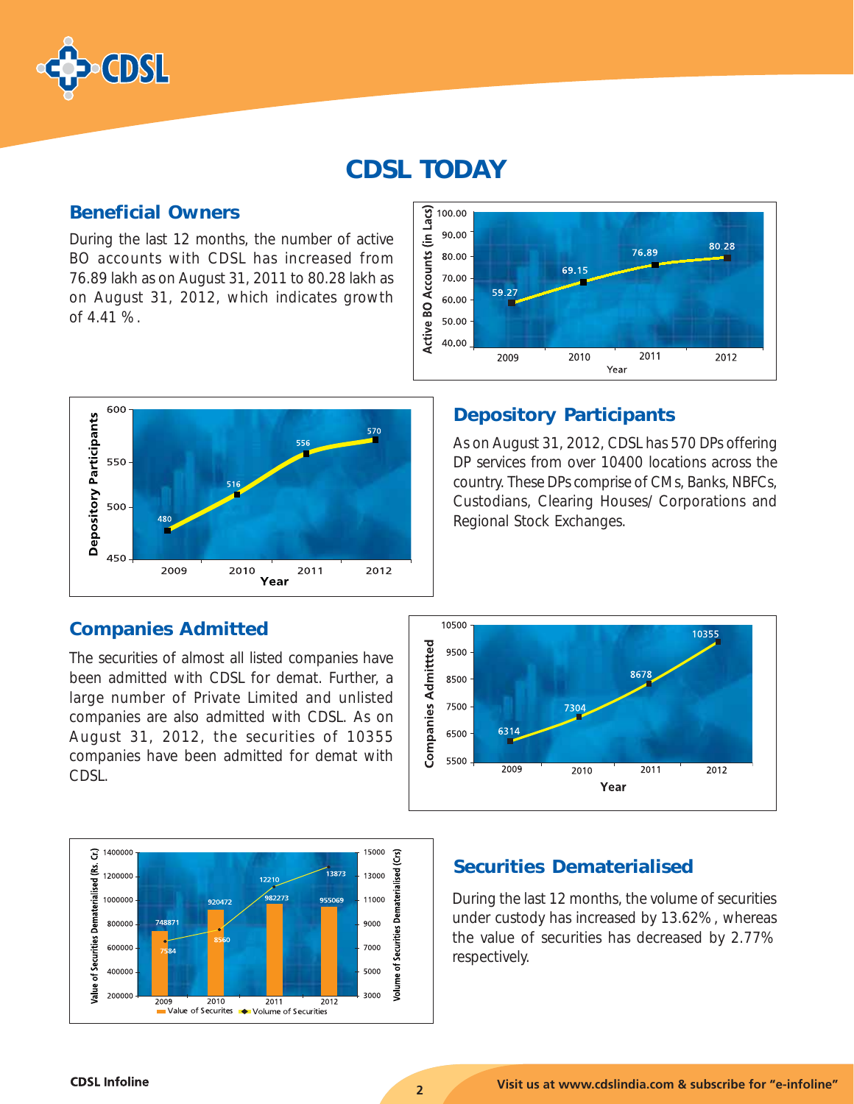

# CDSL TODAY

### Beneficial Owners

During the last 12 months, the number of active BO accounts with CDSL has increased from 76.89 lakh as on August 31, 2011 to 80.28 lakh as on August 31, 2012, which indicates growth of 4.41 %.





### Depository Participants

As on August 31, 2012, CDSL has 570 DPs offering DP services from over 10400 locations across the country. These DPs comprise of CMs, Banks, NBFCs, Custodians, Clearing Houses/ Corporations and Regional Stock Exchanges.

### Companies Admitted

The securities of almost all listed companies have been admitted with CDSL for demat. Further, a large number of Private Limited and unlisted companies are also admitted with CDSL. As on August 31, 2012, the securities of 10355 companies have been admitted for demat with CDSL.





### Securities Dematerialised

During the last 12 months, the volume of securities under custody has increased by 13.62%, whereas the value of securities has decreased by 2.77% respectively.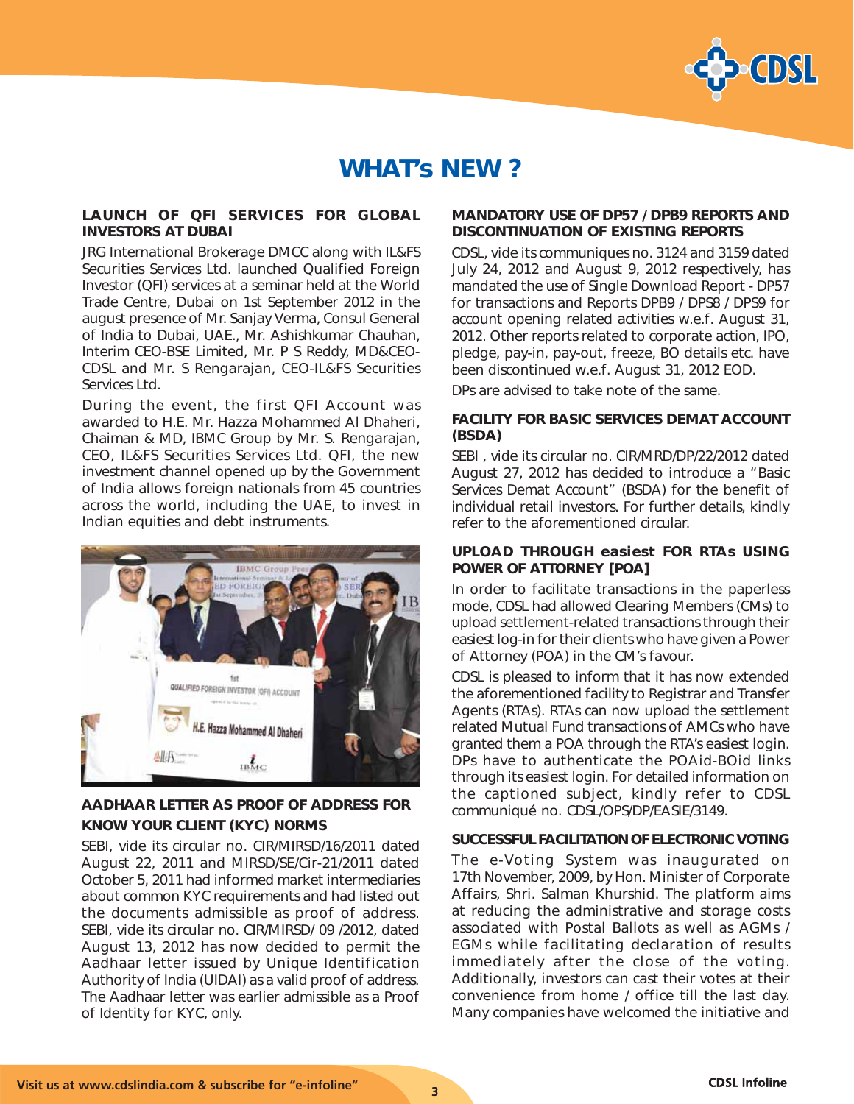

# WHAT's NEW ?

### LAUNCH OF QFI SERVICES FOR GLOBAL INVESTORS AT DUBAI

JRG International Brokerage DMCC along with IL&FS Securities Services Ltd. launched Qualified Foreign Investor (QFI) services at a seminar held at the World Trade Centre, Dubai on 1st September 2012 in the august presence of Mr. Sanjay Verma, Consul General of India to Dubai, UAE., Mr. Ashishkumar Chauhan, Interim CEO-BSE Limited, Mr. P S Reddy, MD&CEO-CDSL and Mr. S Rengarajan, CEO-IL&FS Securities Services Ltd.

During the event, the first QFI Account was awarded to H.E. Mr. Hazza Mohammed Al Dhaheri, Chaiman & MD, IBMC Group by Mr. S. Rengarajan, CEO, IL&FS Securities Services Ltd. QFI, the new investment channel opened up by the Government of India allows foreign nationals from 45 countries across the world, including the UAE, to invest in Indian equities and debt instruments.



### AADHAAR LETTER AS PROOF OF ADDRESS FOR KNOW YOUR CLIENT (KYC) NORMS

SEBI, vide its circular no. CIR/MIRSD/16/2011 dated August 22, 2011 and MIRSD/SE/Cir-21/2011 dated October 5, 2011 had informed market intermediaries about common KYC requirements and had listed out the documents admissible as proof of address. SEBI, vide its circular no. CIR/MIRSD/ 09 /2012, dated August 13, 2012 has now decided to permit the Aadhaar letter issued by Unique Identification Authority of India (UIDAI) as a valid proof of address. The Aadhaar letter was earlier admissible as a Proof of Identity for KYC, only.

### MANDATORY USE OF DP57 / DPB9 REPORTS AND DISCONTINUATION OF EXISTING REPORTS

CDSL, vide its communiques no. 3124 and 3159 dated July 24, 2012 and August 9, 2012 respectively, has mandated the use of Single Download Report - DP57 for transactions and Reports DPB9 / DPS8 / DPS9 for account opening related activities w.e.f. August 31, 2012. Other reports related to corporate action, IPO, pledge, pay-in, pay-out, freeze, BO details etc. have been discontinued w.e.f. August 31, 2012 EOD.

DPs are advised to take note of the same.

### FACILITY FOR BASIC SERVICES DEMAT ACCOUNT (BSDA)

SEBI , vide its circular no. CIR/MRD/DP/22/2012 dated August 27, 2012 has decided to introduce a "Basic Services Demat Account" (BSDA) for the benefit of individual retail investors. For further details, kindly refer to the aforementioned circular.

### UPLOAD THROUGH e*asiest* FOR RTAs USING POWER OF ATTORNEY [POA]

In order to facilitate transactions in the paperless mode, CDSL had allowed Clearing Members (CMs) to upload settlement-related transactions through their e*asiest* log-in for their clients who have given a Power of Attorney (POA) in the CM's favour.

CDSL is pleased to inform that it has now extended the aforementioned facility to Registrar and Transfer Agents (RTAs). RTAs can now upload the settlement related Mutual Fund transactions of AMCs who have granted them a POA through the RTA's e*asiest* login. DPs have to authenticate the POAid-BOid links through its e*asiest* login. For detailed information on the captioned subject, kindly refer to CDSL communiqué no. CDSL/OPS/DP/EASIE/3149.

### SUCCESSFUL FACILITATION OF ELECTRONIC VOTING

The e-Voting System was inaugurated on 17th November, 2009, by Hon. Minister of Corporate Affairs, Shri. Salman Khurshid. The platform aims at reducing the administrative and storage costs associated with Postal Ballots as well as AGMs / EGMs while facilitating declaration of results immediately after the close of the voting. Additionally, investors can cast their votes at their convenience from home / office till the last day. Many companies have welcomed the initiative and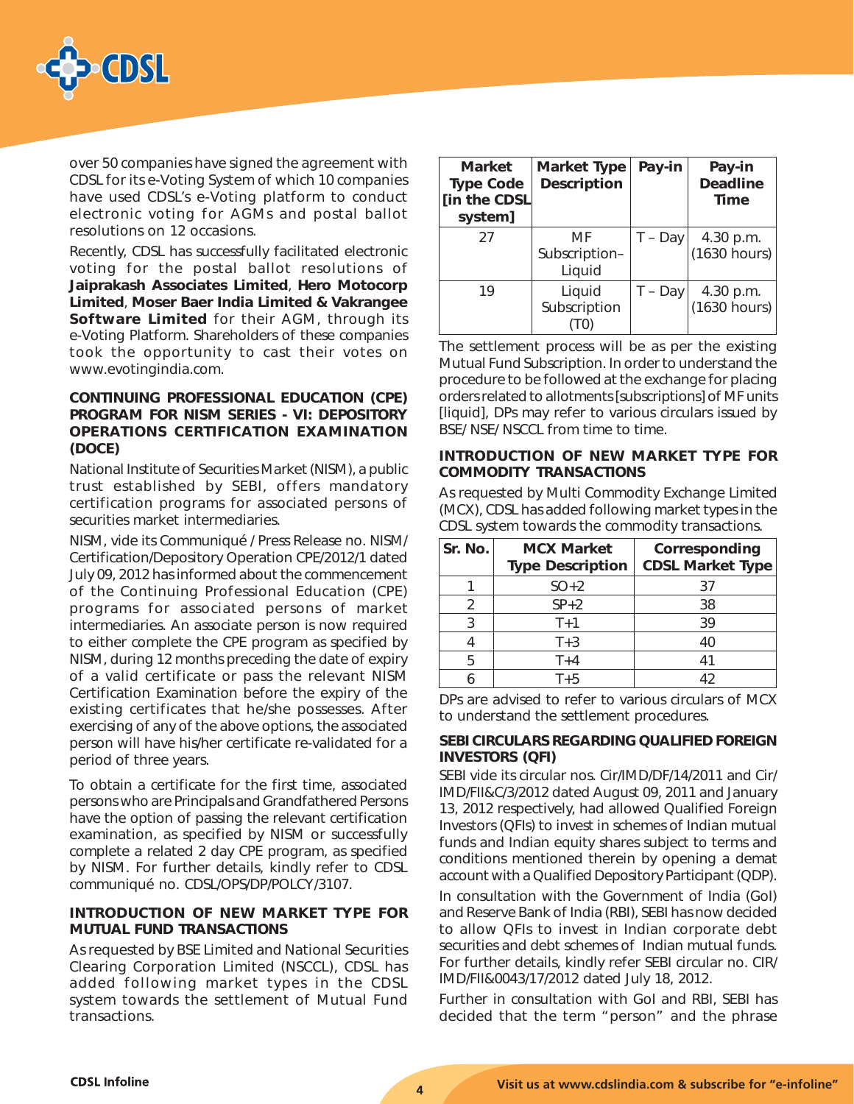

over 50 companies have signed the agreement with CDSL for its e-Voting System of which 10 companies have used CDSL's e-Voting platform to conduct electronic voting for AGMs and postal ballot resolutions on 12 occasions.

Recently, CDSL has successfully facilitated electronic voting for the postal ballot resolutions of Jaiprakash Associates Limited, Hero Motocorp Limited, Moser Baer India Limited & Vakrangee Software Limited for their AGM, through its e-Voting Platform. Shareholders of these companies took the opportunity to cast their votes on www.evotingindia.com.

### CONTINUING PROFESSIONAL EDUCATION (CPE) PROGRAM FOR NISM SERIES - VI: DEPOSITORY OPERATIONS CERTIFICATION EXAMINATION (DOCE)

National Institute of Securities Market (NISM), a public trust established by SEBI, offers mandatory certification programs for associated persons of securities market intermediaries.

NISM, vide its Communiqué / Press Release no. NISM/ Certification/Depository Operation CPE/2012/1 dated July 09, 2012 has informed about the commencement of the Continuing Professional Education (CPE) programs for associated persons of market intermediaries. An associate person is now required to either complete the CPE program as specified by NISM, during 12 months preceding the date of expiry of a valid certificate or pass the relevant NISM Certification Examination before the expiry of the existing certificates that he/she possesses. After exercising of any of the above options, the associated person will have his/her certificate re-validated for a period of three years.

To obtain a certificate for the first time, associated persons who are Principals and Grandfathered Persons have the option of passing the relevant certification examination, as specified by NISM or successfully complete a related 2 day CPE program, as specified by NISM. For further details, kindly refer to CDSL communiqué no. CDSL/OPS/DP/POLCY/3107.

### INTRODUCTION OF NEW MARKET TYPE FOR MUTUAL FUND TRANSACTIONS

As requested by BSE Limited and National Securities Clearing Corporation Limited (NSCCL), CDSL has added following market types in the CDSL system towards the settlement of Mutual Fund transactions.

| <b>Market</b><br><b>Type Code</b><br>[in the CDSL<br>system] | <b>Market Type</b><br><b>Description</b> | Pay-in    | Pay-in<br><b>Deadline</b><br><b>Time</b> |
|--------------------------------------------------------------|------------------------------------------|-----------|------------------------------------------|
| 27                                                           | MF<br>Subscription-<br>Liquid            | $T - Day$ | 4.30 p.m.<br>(1630 hours)                |
| 19                                                           | Liquid<br>Subscription                   | T - Day   | 4.30 p.m.<br>(1630 hours)                |

The settlement process will be as per the existing Mutual Fund Subscription. In order to understand the procedure to be followed at the exchange for placing orders related to allotments [subscriptions] of MF units [liquid], DPs may refer to various circulars issued by BSE/ NSE/ NSCCL from time to time.

### INTRODUCTION OF NEW MARKET TYPE FOR COMMODITY TRANSACTIONS

As requested by Multi Commodity Exchange Limited (MCX), CDSL has added following market types in the CDSL system towards the commodity transactions.

| Sr. No.       | <b>MCX Market</b><br><b>Type Description</b> | Corresponding<br><b>CDSL Market Type</b> |
|---------------|----------------------------------------------|------------------------------------------|
|               | $SO+2$                                       | 37                                       |
| $\mathcal{P}$ | $SP+2$                                       | 38                                       |
| 3             | $T+1$                                        | 39                                       |
|               | $T+3$                                        | 40                                       |
| 5             | $T+4$                                        | 41                                       |
|               | $T+5$                                        |                                          |

DPs are advised to refer to various circulars of MCX to understand the settlement procedures.

### SEBI CIRCULARS REGARDING QUALIFIED FOREIGN INVESTORS (QFI)

SEBI vide its circular nos. Cir/IMD/DF/14/2011 and Cir/ IMD/FII&C/3/2012 dated August 09, 2011 and January 13, 2012 respectively, had allowed Qualified Foreign Investors (QFIs) to invest in schemes of Indian mutual funds and Indian equity shares subject to terms and conditions mentioned therein by opening a demat account with a Qualified Depository Participant (QDP).

In consultation with the Government of India (GoI) and Reserve Bank of India (RBI), SEBI has now decided to allow QFIs to invest in Indian corporate debt securities and debt schemes of Indian mutual funds. For further details, kindly refer SEBI circular no. CIR/ IMD/FII&0043/17/2012 dated July 18, 2012.

Further in consultation with GoI and RBI, SEBI has decided that the term "person" and the phrase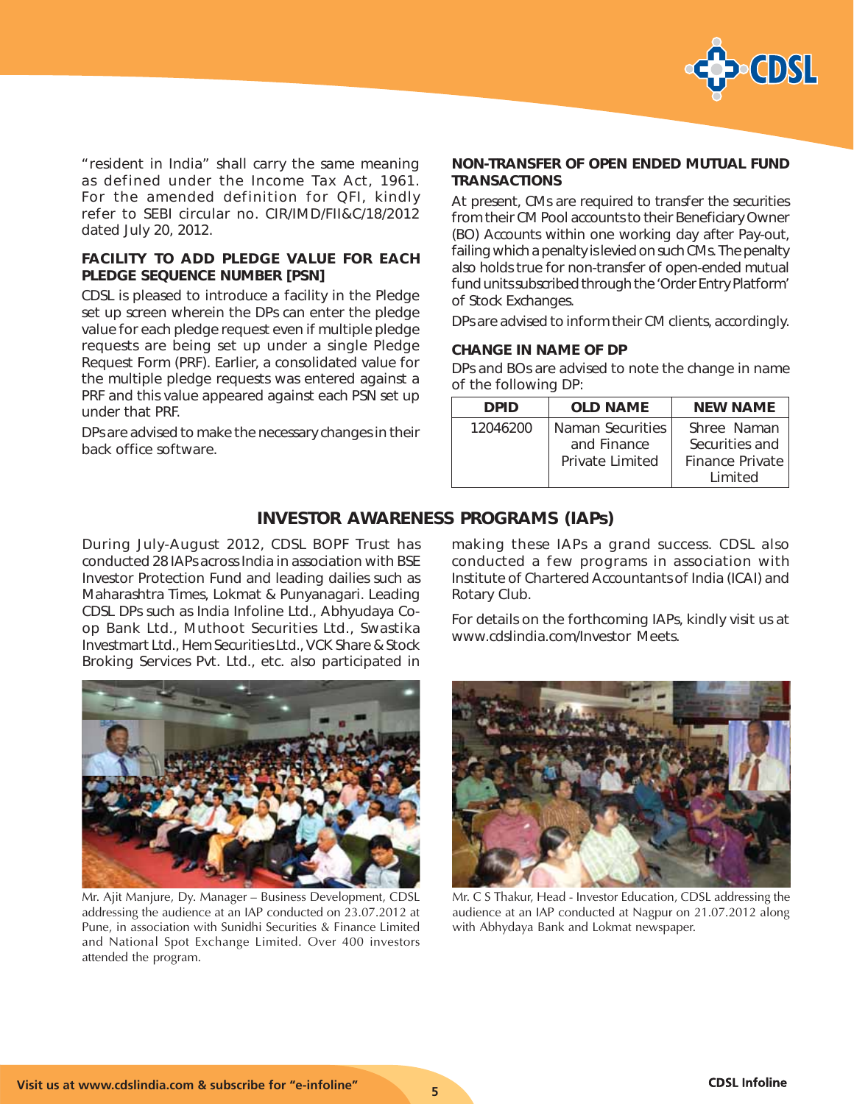

"resident in India" shall carry the same meaning as defined under the Income Tax Act, 1961. For the amended definition for QFI, kindly refer to SEBI circular no. CIR/IMD/FII&C/18/2012 dated July 20, 2012.

### FACILITY TO ADD PLEDGE VALUE FOR EACH PLEDGE SEQUENCE NUMBER [PSN]

CDSL is pleased to introduce a facility in the Pledge set up screen wherein the DPs can enter the pledge value for each pledge request even if multiple pledge requests are being set up under a single Pledge Request Form (PRF). Earlier, a consolidated value for the multiple pledge requests was entered against a PRF and this value appeared against each PSN set up under that PRF.

DPs are advised to make the necessary changes in their back office software.

### NON-TRANSFER OF OPEN ENDED MUTUAL FUND **TRANSACTIONS**

At present, CMs are required to transfer the securities from their CM Pool accounts to their Beneficiary Owner (BO) Accounts within one working day after Pay-out, failing which a penalty is levied on such CMs. The penalty also holds true for non-transfer of open-ended mutual fund units subscribed through the 'Order Entry Platform' of Stock Exchanges.

DPs are advised to inform their CM clients, accordingly.

### CHANGE IN NAME OF DP

DPs and BOs are advised to note the change in name of the following DP:

| <b>DPID</b> | <b>OLD NAME</b>  | <b>NEW NAME</b> |
|-------------|------------------|-----------------|
| 12046200    | Naman Securities | Shree Naman     |
|             | and Finance      | Securities and  |
|             | Private Limited  | Finance Private |
|             |                  | I imited        |

### INVESTOR AWARENESS PROGRAMS (IAPs)

During July-August 2012, CDSL BOPF Trust has conducted 28 IAPs across India in association with BSE Investor Protection Fund and leading dailies such as Maharashtra Times, Lokmat & Punyanagari. Leading CDSL DPs such as India Infoline Ltd., Abhyudaya Coop Bank Ltd., Muthoot Securities Ltd., Swastika Investmart Ltd., Hem Securities Ltd., VCK Share & Stock Broking Services Pvt. Ltd., etc. also participated in



Mr. Ajit Manjure, Dy. Manager – Business Development, CDSL addressing the audience at an IAP conducted on 23.07.2012 at Pune, in association with Sunidhi Securities & Finance Limited and National Spot Exchange Limited. Over 400 investors attended the program.

making these IAPs a grand success. CDSL also conducted a few programs in association with Institute of Chartered Accountants of India (ICAI) and Rotary Club.

For details on the forthcoming IAPs, kindly visit us at www.cdslindia.com/Investor Meets.



Mr. C S Thakur, Head - Investor Education, CDSL addressing the audience at an IAP conducted at Nagpur on 21.07.2012 along with Abhydaya Bank and Lokmat newspaper.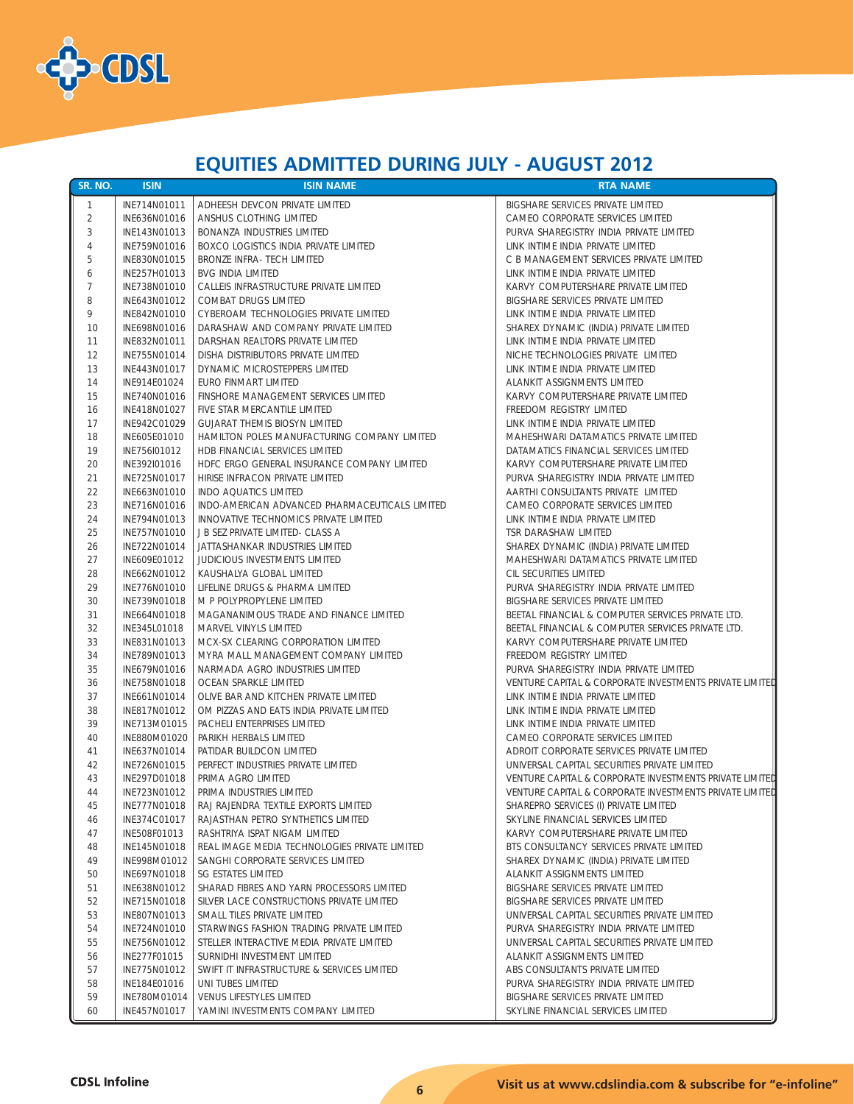

# **EQUITIES ADMITTED DURING JULY - AUGUST 2012**

| SR. NO.        | <b>ISIN</b>                  | <b>ISIN NAME</b>                                                          | <b>RTA NAME</b>                                                |
|----------------|------------------------------|---------------------------------------------------------------------------|----------------------------------------------------------------|
| -1             | INE714N01011                 | ADHEESH DEVCON PRIVATE LIMITED                                            | BIGSHARE SERVICES PRIVATE LIMITED                              |
| $\overline{2}$ | INE636N01016                 | ANSHUS CLOTHING LIMITED                                                   | CAMEO CORPORATE SERVICES LIMITED                               |
| 3              | INE143N01013                 | BONANZA INDUSTRIES LIMITED                                                | PURVA SHAREGISTRY INDIA PRIVATE LIMITED                        |
| $\overline{4}$ | INE759N01016                 | BOXCO LOGISTICS INDIA PRIVATE LIMITED                                     | LINK INTIME INDIA PRIVATE LIMITED                              |
| 5              | INE830N01015                 | <b>BRONZE INFRA- TECH LIMITED</b>                                         | C B MANAGEMENT SERVICES PRIVATE LIMITED                        |
| 6              | INE257H01013                 | <b>BVG INDIA LIMITED</b>                                                  | LINK INTIME INDIA PRIVATE LIMITED                              |
| $\overline{7}$ | INE738N01010                 | CALLEIS INFRASTRUCTURE PRIVATE LIMITED                                    | KARVY COMPUTERSHARE PRIVATE LIMITED                            |
| 8              | INE643N01012                 | COMBAT DRUGS LIMITED                                                      | BIGSHARE SERVICES PRIVATE LIMITED                              |
| 9              | INE842N01010                 | CYBEROAM TECHNOLOGIES PRIVATE LIMITED                                     | LINK INTIME INDIA PRIVATE LIMITED                              |
| 10             | INE698N01016                 | DARASHAW AND COMPANY PRIVATE LIMITED                                      | SHAREX DYNAMIC (INDIA) PRIVATE LIMITED                         |
| 11             | INE832N01011                 | DARSHAN REALTORS PRIVATE LIMITED                                          | LINK INTIME INDIA PRIVATE LIMITED                              |
| 12             | INE755N01014                 | DISHA DISTRIBUTORS PRIVATE LIMITED                                        | NICHE TECHNOLOGIES PRIVATE LIMITED                             |
| 13             | INE443N01017                 | DYNAMIC MICROSTEPPERS LIMITED                                             | LINK INTIME INDIA PRIVATE LIMITED                              |
| 14             | INE914E01024                 | EURO FINMART LIMITED                                                      | ALANKIT ASSIGNMENTS LIMITED                                    |
| 15             | INE740N01016                 | FINSHORE MANAGEMENT SERVICES LIMITED                                      | KARVY COMPUTERSHARE PRIVATE LIMITED                            |
| 16             | INE418N01027                 | FIVE STAR MERCANTILE LIMITED                                              | FREEDOM REGISTRY LIMITED                                       |
| 17             | INE942C01029                 | <b>GUJARAT THEMIS BIOSYN LIMITED</b>                                      | LINK INTIME INDIA PRIVATE LIMITED                              |
| 18             | INE605E01010                 | HAMILTON POLES MANUFACTURING COMPANY LIMITED                              | MAHESHWARI DATAMATICS PRIVATE LIMITED                          |
| 19             | INE756I01012                 | HDB FINANCIAL SERVICES LIMITED                                            | DATAMATICS FINANCIAL SERVICES LIMITED                          |
| 20             | INE392I01016                 | HDFC ERGO GENERAL INSURANCE COMPANY LIMITED                               | KARVY COMPUTERSHARE PRIVATE LIMITED                            |
| 21             | INE725N01017                 | HIRISE INFRACON PRIVATE LIMITED                                           | PURVA SHAREGISTRY INDIA PRIVATE LIMITED                        |
| 22             | INE663N01010                 | <b>INDO AQUATICS LIMITED</b>                                              | AARTHI CONSULTANTS PRIVATE LIMITED                             |
| 23             | INE716N01016                 | INDO-AMERICAN ADVANCED PHARMACEUTICALS LIMITED                            | CAMEO CORPORATE SERVICES LIMITED                               |
| 24             | INE794N01013                 | INNOVATIVE TECHNOMICS PRIVATE LIMITED                                     | LINK INTIME INDIA PRIVATE LIMITED                              |
| 25             | INE757N01010                 | J B SEZ PRIVATE LIMITED- CLASS A                                          | TSR DARASHAW LIMITED                                           |
| 26             | INE722N01014                 | JATTASHANKAR INDUSTRIES LIMITED                                           | SHAREX DYNAMIC (INDIA) PRIVATE LIMITED                         |
| 27             | INE609E01012                 | JUDICIOUS INVESTMENTS LIMITED                                             | MAHESHWARI DATAMATICS PRIVATE LIMITED                          |
| 28             | INE662N01012                 | KAUSHALYA GLOBAL LIMITED                                                  | CIL SECURITIES LIMITED                                         |
| 29             | INE776N01010                 | LIFELINE DRUGS & PHARMA LIMITED                                           | PURVA SHAREGISTRY INDIA PRIVATE LIMITED                        |
| 30             | INE739N01018                 | M P POLYPROPYLENE LIMITED                                                 | BIGSHARE SERVICES PRIVATE LIMITED                              |
| 31             | INE664N01018                 | MAGANANIMOUS TRADE AND FINANCE LIMITED                                    | BEETAL FINANCIAL & COMPUTER SERVICES PRIVATE LTD.              |
| 32             | INE345L01018                 | MARVEL VINYLS LIMITED                                                     | BEETAL FINANCIAL & COMPUTER SERVICES PRIVATE LTD.              |
| 33             | INE831N01013                 | MCX-SX CLEARING CORPORATION LIMITED                                       | KARVY COMPUTERSHARE PRIVATE LIMITED                            |
| 34             | INE789N01013                 | MYRA MALL MANAGEMENT COMPANY LIMITED                                      | FREEDOM REGISTRY LIMITED                                       |
| 35             | INE679N01016                 | NARMADA AGRO INDUSTRIES LIMITED                                           | PURVA SHAREGISTRY INDIA PRIVATE LIMITED                        |
| 36             | INE758N01018                 | OCEAN SPARKLE LIMITED                                                     | VENTURE CAPITAL & CORPORATE INVESTMENTS PRIVATE LIMITED        |
| 37             | INE661N01014                 | OLIVE BAR AND KITCHEN PRIVATE LIMITED                                     | LINK INTIME INDIA PRIVATE LIMITED                              |
| 38             | INE817N01012                 | OM PIZZAS AND EATS INDIA PRIVATE LIMITED                                  | LINK INTIME INDIA PRIVATE LIMITED                              |
| 39             | INE713M01015                 | PACHELI ENTERPRISES LIMITED                                               | LINK INTIME INDIA PRIVATE LIMITED                              |
| 40             | INE880M01020                 | PARIKH HERBALS LIMITED                                                    | CAMEO CORPORATE SERVICES LIMITED                               |
| 41             | INE637N01014                 | PATIDAR BUILDCON LIMITED                                                  | ADROIT CORPORATE SERVICES PRIVATE LIMITED                      |
| 42             | INE726N01015                 | PERFECT INDUSTRIES PRIVATE LIMITED                                        | UNIVERSAL CAPITAL SECURITIES PRIVATE LIMITED                   |
| 43             | INE297D01018                 | PRIMA AGRO LIMITED                                                        | VENTURE CAPITAL & CORPORATE INVESTMENTS PRIVATE LIMITED        |
| 44             | INE723N01012                 | PRIMA INDUSTRIES LIMITED                                                  | VENTURE CAPITAL & CORPORATE INVESTMENTS PRIVATE LIMITED        |
| 45             | INE777N01018                 | RAJ RAJENDRA TEXTILE EXPORTS LIMITED                                      | SHAREPRO SERVICES (I) PRIVATE LIMITED                          |
| 46             | INE374C01017                 | RAJASTHAN PETRO SYNTHETICS LIMITED                                        | SKYLINE FINANCIAL SERVICES LIMITED                             |
| 47             | INE508F01013                 | RASHTRIYA ISPAT NIGAM LIMITED                                             | KARVY COMPUTERSHARE PRIVATE LIMITED                            |
| 48             | INE145N01018                 | REAL IMAGE MEDIA TECHNOLOGIES PRIVATE LIMITED                             | BTS CONSULTANCY SERVICES PRIVATE LIMITED                       |
| 49             | INE998M01012                 | SANGHI CORPORATE SERVICES LIMITED                                         | SHAREX DYNAMIC (INDIA) PRIVATE LIMITED                         |
| 50             | INE697N01018                 | SG ESTATES LIMITED                                                        | ALANKIT ASSIGNMENTS LIMITED                                    |
| 51             | INE638N01012                 | SHARAD FIBRES AND YARN PROCESSORS LIMITED                                 | BIGSHARE SERVICES PRIVATE LIMITED                              |
| 52             | INE715N01018                 | SILVER LACE CONSTRUCTIONS PRIVATE LIMITED                                 | BIGSHARE SERVICES PRIVATE LIMITED                              |
| 53             | INE807N01013                 | SMALL TILES PRIVATE LIMITED                                               | UNIVERSAL CAPITAL SECURITIES PRIVATE LIMITED                   |
| 54             | INE724N01010                 | STARWINGS FASHION TRADING PRIVATE LIMITED                                 | PURVA SHAREGISTRY INDIA PRIVATE LIMITED                        |
| 55             | INE756N01012                 | STELLER INTERACTIVE MEDIA PRIVATE LIMITED                                 | UNIVERSAL CAPITAL SECURITIES PRIVATE LIMITED                   |
| 56<br>57       | INE277F01015<br>INE775N01012 | SURNIDHI INVESTMENT LIMITED<br>SWIFT IT INFRASTRUCTURE & SERVICES LIMITED | ALANKIT ASSIGNMENTS LIMITED<br>ABS CONSULTANTS PRIVATE LIMITED |
| 58             | INE184E01016                 | UNI TUBES LIMITED                                                         | PURVA SHAREGISTRY INDIA PRIVATE LIMITED                        |
| 59             | INE780M01014                 | VENUS LIFESTYLES LIMITED                                                  | BIGSHARE SERVICES PRIVATE LIMITED                              |
| 60             | INE457N01017                 | YAMINI INVESTMENTS COMPANY LIMITED                                        | SKYLINE FINANCIAL SERVICES LIMITED                             |
|                |                              |                                                                           |                                                                |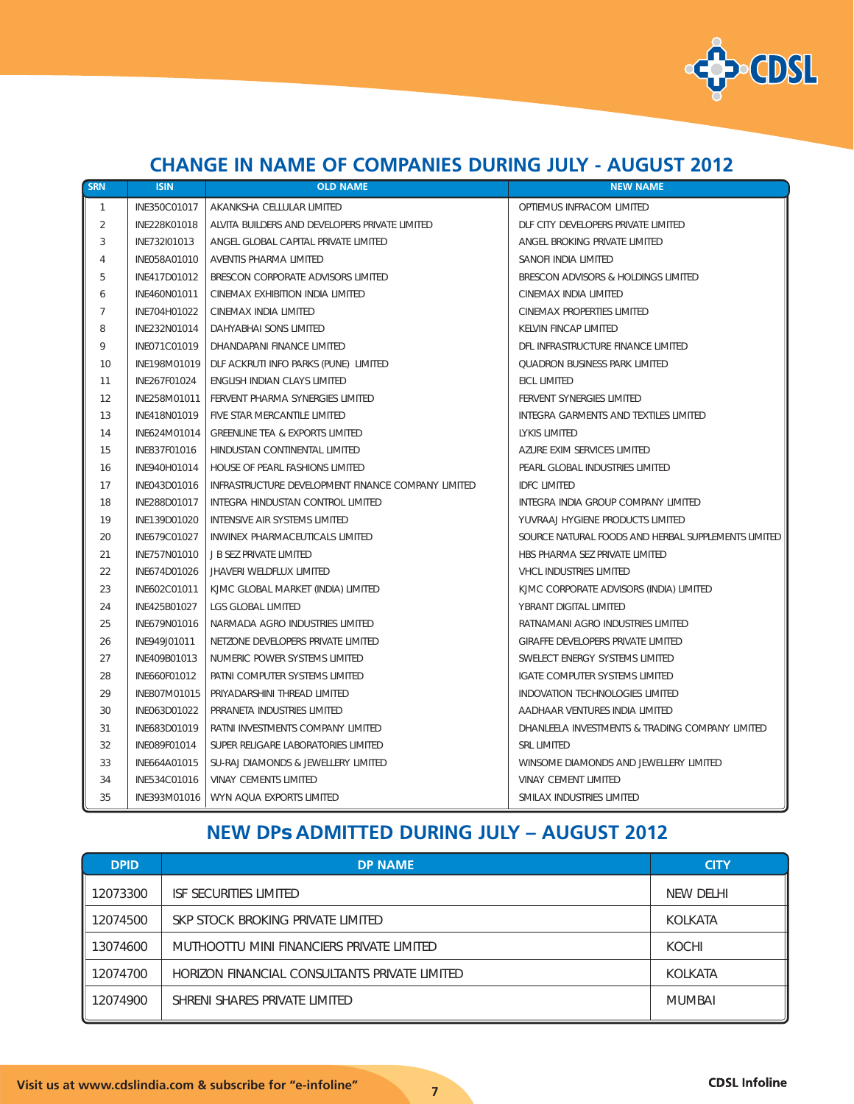

## **CHANGE IN NAME OF COMPANIES DURING JULY - AUGUST 2012**

| SRN            | <b>ISIN</b>  | <b>OLD NAME</b>                                    | <b>NEW NAME</b>                                     |
|----------------|--------------|----------------------------------------------------|-----------------------------------------------------|
| $\mathbf{1}$   | INE350C01017 | AKANKSHA CELLULAR LIMITED                          | OPTIEMUS INFRACOM LIMITED                           |
| 2              | INE228K01018 | ALVITA BUILDERS AND DEVELOPERS PRIVATE LIMITED     | DLF CITY DEVELOPERS PRIVATE LIMITED                 |
| 3              | INE732I01013 | ANGEL GLOBAL CAPITAL PRIVATE LIMITED               | ANGEL BROKING PRIVATE LIMITED                       |
| 4              | INE058A01010 | AVENTIS PHARMA LIMITED                             | SANOFI INDIA LIMITED                                |
| 5              | INE417D01012 | BRESCON CORPORATE ADVISORS LIMITED                 | BRESCON ADVISORS & HOLDINGS LIMITED                 |
| 6              | INE460N01011 | CINEMAX EXHIBITION INDIA LIMITED                   | CINEMAX INDIA LIMITED                               |
| $\overline{7}$ | INE704H01022 | CINEMAX INDIA LIMITED                              | CINEMAX PROPERTIES LIMITED                          |
| 8              | INE232N01014 | DAHYABHAI SONS LIMITED                             | <b>KELVIN FINCAP LIMITED</b>                        |
| 9              | INE071C01019 | DHANDAPANI FINANCE LIMITED                         | DFL INFRASTRUCTURE FINANCE LIMITED                  |
| 10             | INE198M01019 | DLF ACKRUTI INFO PARKS (PUNE) LIMITED              | <b>QUADRON BUSINESS PARK LIMITED</b>                |
| 11             | INE267F01024 | ENGLISH INDIAN CLAYS LIMITED                       | EICL LIMITED                                        |
| 12             | INE258M01011 | FERVENT PHARMA SYNERGIES LIMITED                   | FERVENT SYNERGIES LIMITED                           |
| 13             | INE418N01019 | FIVE STAR MERCANTILE LIMITED                       | INTEGRA GARMENTS AND TEXTILES LIMITED               |
| 14             | INE624M01014 | <b>GREENLINE TEA &amp; EXPORTS LIMITED</b>         | LYKIS LIMITED                                       |
| 15             | INE837F01016 | HINDUSTAN CONTINENTAL LIMITED                      | AZURE EXIM SERVICES LIMITED                         |
| 16             | INE940H01014 | HOUSE OF PEARL FASHIONS LIMITED                    | PEARL GLOBAL INDUSTRIES LIMITED                     |
| 17             | INE043D01016 | INFRASTRUCTURE DEVELOPMENT FINANCE COMPANY LIMITED | <b>IDEC LIMITED</b>                                 |
| 18             | INE288D01017 | INTEGRA HINDUSTAN CONTROL LIMITED                  | INTEGRA INDIA GROUP COMPANY LIMITED                 |
| 19             | INE139D01020 | INTENSIVE AIR SYSTEMS LIMITED                      | YUVRAAJ HYGIENE PRODUCTS LIMITED                    |
| 20             | INE679C01027 | INWINEX PHARMACEUTICALS LIMITED                    | SOURCE NATURAL FOODS AND HERBAL SUPPLEMENTS LIMITED |
| 21             | INF757N01010 | J B SEZ PRIVATE LIMITED                            | HBS PHARMA SEZ PRIVATE LIMITED                      |
| 22             | INE674D01026 | JHAVERI WELDFLUX LIMITED                           | VHCL INDUSTRIES LIMITED                             |
| 23             | INE602C01011 | KJMC GLOBAL MARKET (INDIA) LIMITED                 | KJMC CORPORATE ADVISORS (INDIA) LIMITED             |
| 24             | INE425B01027 | LGS GLOBAL LIMITED                                 | YBRANT DIGITAL LIMITED                              |
| 25             | INE679N01016 | NARMADA AGRO INDUSTRIES LIMITED                    | RATNAMANI AGRO INDUSTRIES LIMITED                   |
| 26             | INE949J01011 | NETZONE DEVELOPERS PRIVATE LIMITED                 | GIRAFFE DEVELOPERS PRIVATE LIMITED                  |
| 27             | INE409B01013 | NUMERIC POWER SYSTEMS LIMITED                      | SWELECT ENERGY SYSTEMS LIMITED                      |
| 28             | INE660F01012 | PATNI COMPUTER SYSTEMS LIMITED                     | IGATE COMPUTER SYSTEMS LIMITED                      |
| 29             | INE807M01015 | PRIYADARSHINI THREAD LIMITED                       | INDOVATION TECHNOLOGIES LIMITED                     |
| 30             | INE063D01022 | PRRANETA INDUSTRIES LIMITED                        | AADHAAR VENTURES INDIA LIMITED                      |
| 31             | INE683D01019 | RATNI INVESTMENTS COMPANY LIMITED                  | DHANLEELA INVESTMENTS & TRADING COMPANY LIMITED     |
| 32             | INE089F01014 | SUPER RELIGARE LABORATORIES LIMITED                | <b>SRL LIMITED</b>                                  |
| 33             | INE664A01015 | SU-RAJ DIAMONDS & JEWELLERY LIMITED                | WINSOME DIAMONDS AND JEWELLERY LIMITED              |
| 34             | INE534C01016 | <b>VINAY CEMENTS LIMITED</b>                       | <b>VINAY CEMENT LIMITED</b>                         |
| 35             |              | INE393M01016   WYN AQUA EXPORTS LIMITED            | SMILAX INDUSTRIES LIMITED                           |

# **NEW DPs ADMITTED DURING JULY – AUGUST 2012**

| <b>DPID</b> | <b>DP NAME</b>                                | <b>CITY</b>    |
|-------------|-----------------------------------------------|----------------|
| 12073300    | ISF SECURITIES LIMITED                        | NEW DELHI      |
| 12074500    | SKP STOCK BROKING PRIVATE LIMITED             | KOLKATA        |
| 13074600    | MUTHOOTTU MINI FINANCIERS PRIVATE LIMITED     | KOCHI          |
| 12074700    | HORIZON FINANCIAL CONSULTANTS PRIVATE LIMITED | <b>KOLKATA</b> |
| 12074900    | SHRENI SHARES PRIVATE LIMITED                 | <b>MUMBAI</b>  |